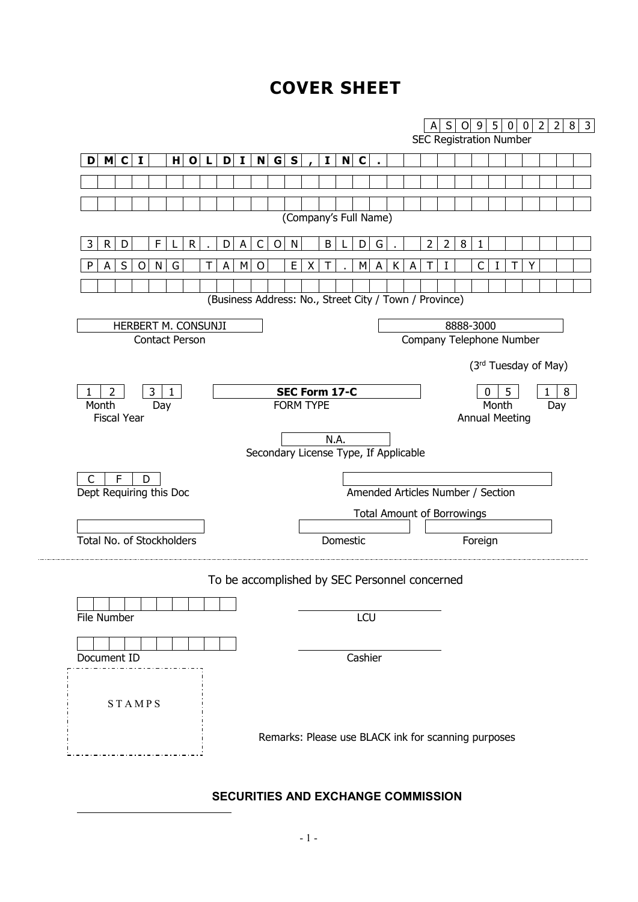# **COVER SHEET**

|                                   |                       |     |                                                        |     |                                       |              |       |   |              |          |                                                     |   |   |                             |                | S              | O | 9                              | 5 | 0 | 0 | $\overline{2}$ | $\overline{2}$ | 8 | 3 |
|-----------------------------------|-----------------------|-----|--------------------------------------------------------|-----|---------------------------------------|--------------|-------|---|--------------|----------|-----------------------------------------------------|---|---|-----------------------------|----------------|----------------|---|--------------------------------|---|---|---|----------------|----------------|---|---|
|                                   |                       |     |                                                        |     |                                       |              |       |   |              |          |                                                     |   |   |                             |                |                |   | <b>SEC Registration Number</b> |   |   |   |                |                |   |   |
| D M C I                           |                       | H O | $\mathbf{L}$                                           | D I |                                       |              | N G S |   | $\mathbf{I}$ | N        | $\mathbf C$                                         |   |   |                             |                |                |   |                                |   |   |   |                |                |   |   |
|                                   |                       |     |                                                        |     |                                       |              |       |   |              |          |                                                     |   |   |                             |                |                |   |                                |   |   |   |                |                |   |   |
|                                   |                       |     |                                                        |     |                                       |              |       |   |              |          |                                                     |   |   |                             |                |                |   |                                |   |   |   |                |                |   |   |
|                                   |                       |     |                                                        |     |                                       |              |       |   |              |          | (Company's Full Name)                               |   |   |                             |                |                |   |                                |   |   |   |                |                |   |   |
| $\mathsf{R}$<br>3<br>D            | F                     | R   | D                                                      | A   | $\mathsf{C}$                          | $\mathsf{O}$ | N     |   | B            | L        | D                                                   | G |   |                             | $\overline{2}$ | $\overline{2}$ | 8 | 1                              |   |   |   |                |                |   |   |
| $\mathsf{S}$<br>$\circ$<br>P<br>A | N<br>G                |     | A<br>т                                                 | M   | $\circ$                               |              | E     | X | Τ            |          | М                                                   | A | К | A                           | Τ              |                |   | C                              |   | Τ |   |                |                |   |   |
|                                   |                       |     |                                                        |     |                                       |              |       |   |              |          |                                                     |   |   |                             |                |                |   |                                |   |   |   |                |                |   |   |
|                                   |                       |     | (Business Address: No., Street City / Town / Province) |     |                                       |              |       |   |              |          |                                                     |   |   |                             |                |                |   |                                |   |   |   |                |                |   |   |
|                                   | HERBERT M. CONSUNJI   |     |                                                        |     |                                       |              |       |   |              |          |                                                     |   |   |                             |                |                |   | 8888-3000                      |   |   |   |                |                |   |   |
|                                   | <b>Contact Person</b> |     |                                                        |     |                                       |              |       |   |              |          |                                                     |   |   |                             |                |                |   | Company Telephone Number       |   |   |   |                |                |   |   |
|                                   |                       |     |                                                        |     |                                       |              |       |   |              |          |                                                     |   |   |                             |                |                |   | (3rd Tuesday of May)           |   |   |   |                |                |   |   |
|                                   | $\mathbf{1}$          |     |                                                        |     |                                       |              |       |   |              |          |                                                     |   |   |                             |                |                |   |                                |   |   |   |                |                |   |   |
| 2<br>1<br>Month                   | 3<br>Day              |     |                                                        |     | SEC Form 17-C<br><b>FORM TYPE</b>     |              |       |   |              |          |                                                     |   |   | 8<br>5<br>0<br>Month<br>Day |                |                |   |                                |   |   |   |                |                |   |   |
| <b>Fiscal Year</b>                |                       |     |                                                        |     |                                       |              |       |   |              |          |                                                     |   |   |                             |                |                |   | <b>Annual Meeting</b>          |   |   |   |                |                |   |   |
|                                   |                       |     |                                                        |     |                                       |              |       |   |              | N.A.     |                                                     |   |   |                             |                |                |   |                                |   |   |   |                |                |   |   |
|                                   |                       |     |                                                        |     | Secondary License Type, If Applicable |              |       |   |              |          |                                                     |   |   |                             |                |                |   |                                |   |   |   |                |                |   |   |
| F<br>$\mathsf{C}$                 | D                     |     |                                                        |     |                                       |              |       |   |              |          |                                                     |   |   |                             |                |                |   |                                |   |   |   |                |                |   |   |
| Dept Requiring this Doc           |                       |     |                                                        |     |                                       |              |       |   |              |          | Amended Articles Number / Section                   |   |   |                             |                |                |   |                                |   |   |   |                |                |   |   |
|                                   |                       |     |                                                        |     |                                       |              |       |   |              |          | <b>Total Amount of Borrowings</b>                   |   |   |                             |                |                |   |                                |   |   |   |                |                |   |   |
| Total No. of Stockholders         |                       |     |                                                        |     |                                       |              |       |   |              | Domestic |                                                     |   |   |                             |                |                |   | Foreign                        |   |   |   |                |                |   |   |
|                                   |                       |     |                                                        |     |                                       |              |       |   |              |          |                                                     |   |   |                             |                |                |   |                                |   |   |   |                |                |   |   |
|                                   |                       |     | To be accomplished by SEC Personnel concerned          |     |                                       |              |       |   |              |          |                                                     |   |   |                             |                |                |   |                                |   |   |   |                |                |   |   |
|                                   |                       |     |                                                        |     |                                       |              |       |   |              |          |                                                     |   |   |                             |                |                |   |                                |   |   |   |                |                |   |   |
| File Number                       |                       |     |                                                        |     |                                       |              |       |   |              |          | LCU                                                 |   |   |                             |                |                |   |                                |   |   |   |                |                |   |   |
|                                   |                       |     |                                                        |     |                                       |              |       |   |              |          |                                                     |   |   |                             |                |                |   |                                |   |   |   |                |                |   |   |
| Document ID                       |                       |     |                                                        |     |                                       |              |       |   |              |          | Cashier                                             |   |   |                             |                |                |   |                                |   |   |   |                |                |   |   |
|                                   |                       |     |                                                        |     |                                       |              |       |   |              |          |                                                     |   |   |                             |                |                |   |                                |   |   |   |                |                |   |   |
| <b>STAMPS</b>                     |                       |     |                                                        |     |                                       |              |       |   |              |          |                                                     |   |   |                             |                |                |   |                                |   |   |   |                |                |   |   |
|                                   |                       |     |                                                        |     |                                       |              |       |   |              |          |                                                     |   |   |                             |                |                |   |                                |   |   |   |                |                |   |   |
|                                   |                       |     |                                                        |     |                                       |              |       |   |              |          | Remarks: Please use BLACK ink for scanning purposes |   |   |                             |                |                |   |                                |   |   |   |                |                |   |   |
|                                   |                       |     |                                                        |     |                                       |              |       |   |              |          |                                                     |   |   |                             |                |                |   |                                |   |   |   |                |                |   |   |

# **SECURITIES AND EXCHANGE COMMISSION**

<span id="page-0-0"></span>1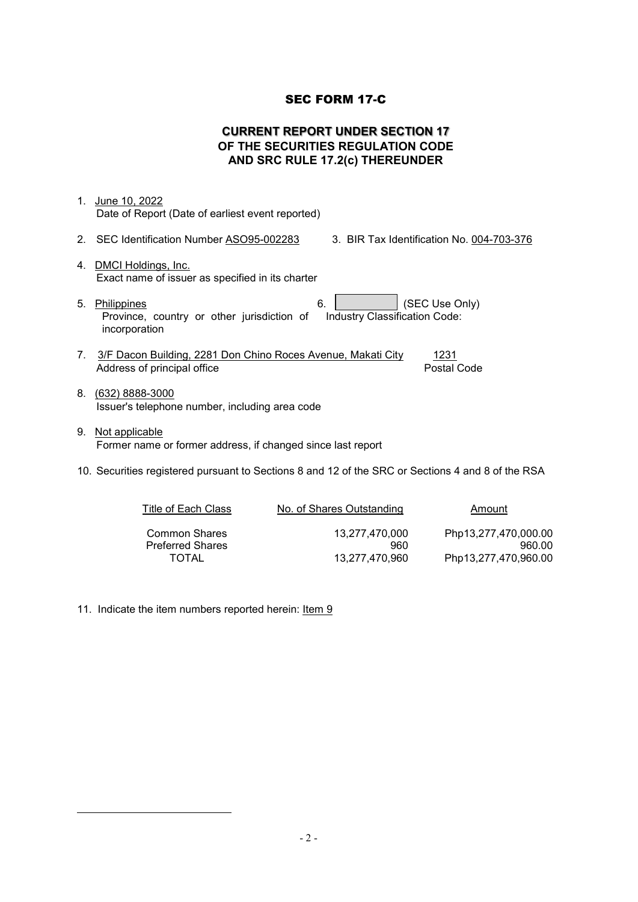## SEC FORM 17-C

## **CURRENT REPORT UNDER SECTION 17 OF THE SECURITIES REGULATION CODE AND SRC RULE 17.2(c) THEREUNDER**

| 1. | June 10, 2022<br>Date of Report (Date of earliest event reported)                                                                   |
|----|-------------------------------------------------------------------------------------------------------------------------------------|
|    | 2. SEC Identification Number ASO95-002283<br>3. BIR Tax Identification No. 004-703-376                                              |
|    | 4. DMCI Holdings, Inc.<br>Exact name of issuer as specified in its charter                                                          |
| 5. | (SEC Use Only)<br>6.<br>Philippines<br>Province, country or other jurisdiction of<br>Industry Classification Code:<br>incorporation |
| 7. | 3/F Dacon Building, 2281 Don Chino Roces Avenue, Makati City<br>1231<br>Postal Code<br>Address of principal office                  |
| 8. | $(632)$ 8888-3000<br>Issuer's telephone number, including area code                                                                 |
| 9. | <u>Not applicable</u><br>Former name or former address, if changed since last report                                                |
|    | 10. Securities registered pursuant to Sections 8 and 12 of the SRC or Sections 4 and 8 of the RSA                                   |

| Title of Each Class     | No. of Shares Outstanding | Amount               |
|-------------------------|---------------------------|----------------------|
| <b>Common Shares</b>    | 13.277.470.000            | Php13,277,470,000.00 |
| <b>Preferred Shares</b> | 960                       | 960.00               |
| TOTAL                   | 13.277.470.960            | Php13,277,470,960.00 |

11. Indicate the item numbers reported herein: Item 9

1